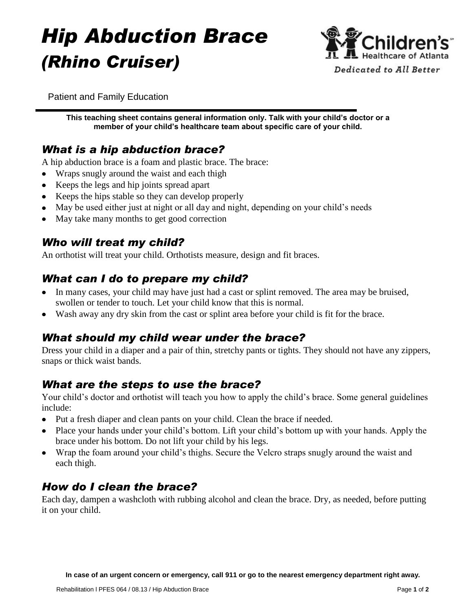# *Hip Abduction Brace (Rhino Cruiser)*



Patient and Family Education

**This teaching sheet contains general information only. Talk with your child's doctor or a member of your child's healthcare team about specific care of your child.**

# *What is a hip abduction brace?*

A hip abduction brace is a foam and plastic brace. The brace:

- Wraps snugly around the waist and each thigh  $\bullet$
- Keeps the legs and hip joints spread apart
- Keeps the hips stable so they can develop properly
- May be used either just at night or all day and night, depending on your child's needs
- May take many months to get good correction

#### *Who will treat my child?*

An orthotist will treat your child. Orthotists measure, design and fit braces.

### *What can I do to prepare my child?*

- In many cases, your child may have just had a cast or splint removed. The area may be bruised,  $\bullet$ swollen or tender to touch. Let your child know that this is normal.
- Wash away any dry skin from the cast or splint area before your child is fit for the brace.

#### *What should my child wear under the brace?*

Dress your child in a diaper and a pair of thin, stretchy pants or tights. They should not have any zippers, snaps or thick waist bands.

#### *What are the steps to use the brace?*

Your child's doctor and orthotist will teach you how to apply the child's brace. Some general guidelines include:

- Put a fresh diaper and clean pants on your child. Clean the brace if needed.
- Place your hands under your child's bottom. Lift your child's bottom up with your hands. Apply the brace under his bottom. Do not lift your child by his legs.
- Wrap the foam around your child's thighs. Secure the Velcro straps snugly around the waist and each thigh.

#### *How do I clean the brace?*

Each day, dampen a washcloth with rubbing alcohol and clean the brace. Dry, as needed, before putting it on your child.